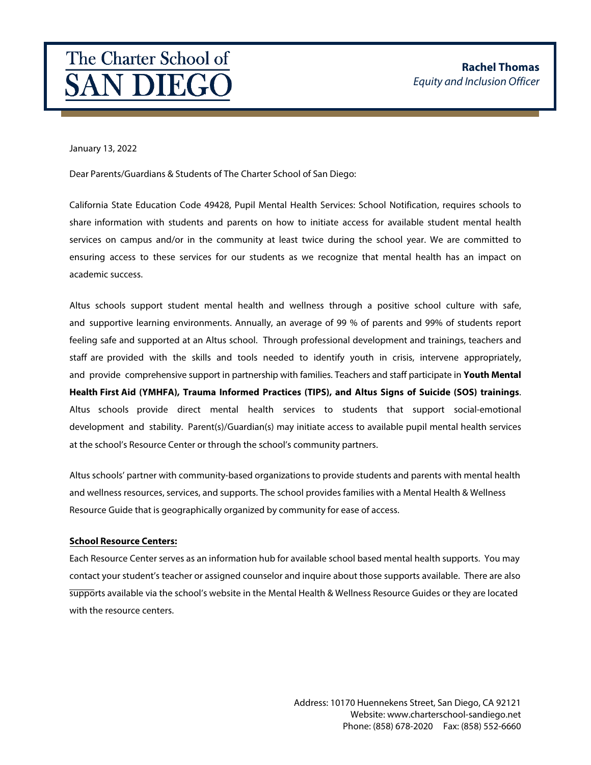January 13, 2022

Dear Parents/Guardians & Students of The Charter School of San Diego:

California State Education Code 49428, Pupil Mental Health Services: School Notification, requires schools to share information with students and parents on how to initiate access for available student mental health services on campus and/or in the community at least twice during the school year. We are committed to ensuring access to these services for our students as we recognize that mental health has an impact on academic success.

Altus schools support student mental health and wellness through a positive school culture with safe, and supportive learning environments. Annually, an average of 99 % of parents and 99% of students report feeling safe and supported at an Altus school. Through professional development and trainings, teachers and staff are provided with the skills and tools needed to identify youth in crisis, intervene appropriately, and provide comprehensive support in partnership with families. Teachers and staff participate in **Youth Mental Health First Aid (YMHFA), Trauma Informed Practices (TIPS), and Altus Signs of Suicide (SOS) trainings**. Altus schools provide direct mental health services to students that support social-emotional development and stability. Parent(s)/Guardian(s) may initiate access to available pupil mental health services at the school's Resource Center or through the school's community partners.

Altus schools' partner with community-based organizations to provide students and parents with mental health and wellness resources, services, and supports. The school provides families with a Mental Health & Wellness Resource Guide that is geographically organized by community for ease of access.

#### **School Resource Centers:**

Each Resource Center serves as an information hub for available school based mental health supports. You may contact your student's teacher or assigned counselor and inquire about those supports available. There are also [supports available via](https://www.211.org/) the school's website in the Mental Health & Wellness Resource Guides or they are located with the resource centers.